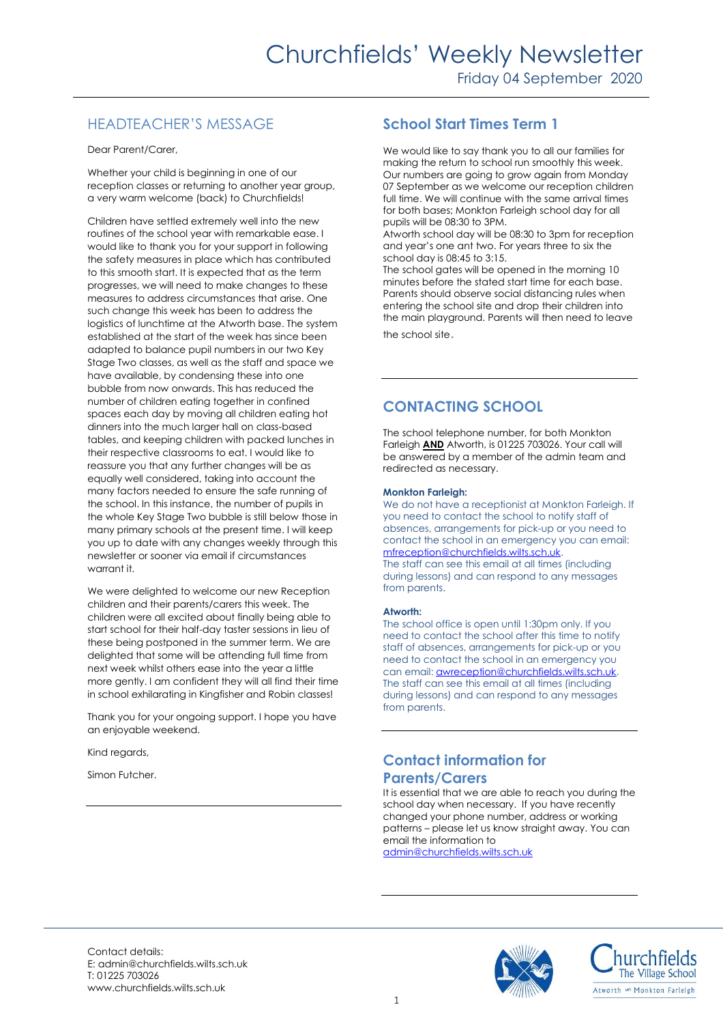## HEADTEACHER'S MESSAGE

Dear Parent/Carer,

Whether your child is beginning in one of our reception classes or returning to another year group, a very warm welcome (back) to Churchfields!

Children have settled extremely well into the new routines of the school year with remarkable ease. I would like to thank you for your support in following the safety measures in place which has contributed to this smooth start. It is expected that as the term progresses, we will need to make changes to these measures to address circumstances that arise. One such change this week has been to address the logistics of lunchtime at the Atworth base. The system established at the start of the week has since been adapted to balance pupil numbers in our two Key Stage Two classes, as well as the staff and space we have available, by condensing these into one bubble from now onwards. This has reduced the number of children eating together in confined spaces each day by moving all children eating hot dinners into the much larger hall on class-based tables, and keeping children with packed lunches in their respective classrooms to eat. I would like to reassure you that any further changes will be as equally well considered, taking into account the many factors needed to ensure the safe running of the school. In this instance, the number of pupils in the whole Key Stage Two bubble is still below those in many primary schools at the present time. I will keep you up to date with any changes weekly through this newsletter or sooner via email if circumstances warrant it.

We were delighted to welcome our new Reception children and their parents/carers this week. The children were all excited about finally being able to start school for their half-day taster sessions in lieu of these being postponed in the summer term. We are delighted that some will be attending full time from next week whilst others ease into the year a little more gently. I am confident they will all find their time in school exhilarating in Kingfisher and Robin classes!

Thank you for your ongoing support. I hope you have an enjoyable weekend.

Kind regards,

Simon Futcher.

## **School Start Times Term 1**

We would like to say thank you to all our families for making the return to school run smoothly this week. Our numbers are going to grow again from Monday 07 September as we welcome our reception children full time. We will continue with the same arrival times for both bases; Monkton Farleigh school day for all pupils will be 08:30 to 3PM.

Atworth school day will be 08:30 to 3pm for reception and year's one ant two. For years three to six the school day is 08:45 to 3:15.

The school gates will be opened in the morning 10 minutes before the stated start time for each base. Parents should observe social distancing rules when entering the school site and drop their children into the main playground. Parents will then need to leave

the school site.

## **CONTACTING SCHOOL**

The school telephone number, for both Monkton Farleigh **AND** Atworth, is 01225 703026. Your call will be answered by a member of the admin team and redirected as necessary.

#### **Monkton Farleigh:**

We do not have a receptionist at Monkton Farleigh. If you need to contact the school to notify staff of absences, arrangements for pick-up or you need to contact the school in an emergency you can email: [mfreception@churchfields.wilts.sch.uk.](mailto:mfreception@churchfields.wilts.sch.uk)

The staff can see this email at all times (including during lessons) and can respond to any messages from parents.

#### **Atworth:**

The school office is open until 1:30pm only. If you need to contact the school after this time to notify staff of absences, arrangements for pick-up or you need to contact the school in an emergency you can email: **awreception@churchfields.wilts.sch.uk.** The staff can see this email at all times (including during lessons) and can respond to any messages from parents.

### **Contact information for Parents/Carers**

It is essential that we are able to reach you during the school day when necessary. If you have recently changed your phone number, address or working patterns – please let us know straight away. You can email the information to

[admin@churchfields.wilts.sch.uk](mailto:admin@churchfields.wilts.sch.uk)

Contact details: E: admin@churchfields.wilts.sch.uk T: 01225 703026 www.churchfields.wilts.sch.uk



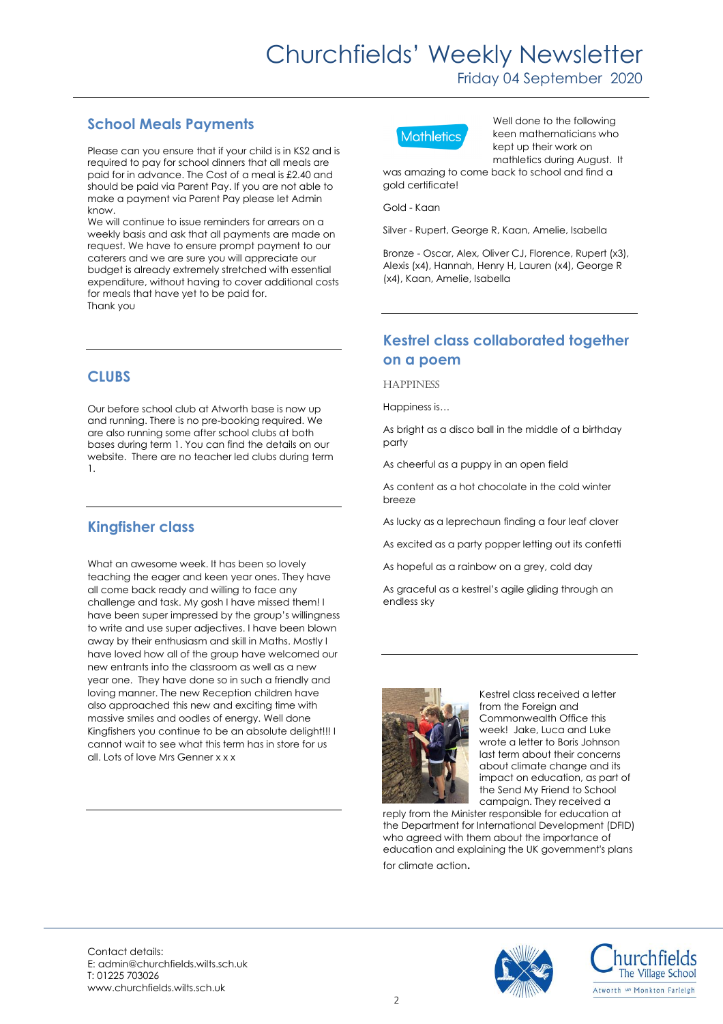# Churchfields' Weekly Newsletter

Friday 04 September 2020

#### **School Meals Payments**

Please can you ensure that if your child is in KS2 and is required to pay for school dinners that all meals are paid for in advance. The Cost of a meal is £2.40 and should be paid via Parent Pay. If you are not able to make a payment via Parent Pay please let Admin know.

We will continue to issue reminders for arrears on a weekly basis and ask that all payments are made on request. We have to ensure prompt payment to our caterers and we are sure you will appreciate our budget is already extremely stretched with essential expenditure, without having to cover additional costs for meals that have yet to be paid for. Thank you

#### **CLUBS**

Our before school club at Atworth base is now up and running. There is no pre-booking required. We are also running some after school clubs at both bases during term 1. You can find the details on our website. There are no teacher led clubs during term 1.

### **Kingfisher class**

What an awesome week. It has been so lovely teaching the eager and keen year ones. They have all come back ready and willing to face any challenge and task. My gosh I have missed them! I have been super impressed by the group's willingness to write and use super adjectives. I have been blown away by their enthusiasm and skill in Maths. Mostly I have loved how all of the group have welcomed our new entrants into the classroom as well as a new year one. They have done so in such a friendly and loving manner. The new Reception children have also approached this new and exciting time with massive smiles and oodles of energy. Well done Kingfishers you continue to be an absolute delight!!! I cannot wait to see what this term has in store for us all. Lots of love Mrs Genner x x x



Well done to the following keen mathematicians who kept up their work on mathletics during August. It

was amazing to come back to school and find a gold certificate!

Gold - Kaan

Silver - Rupert, George R, Kaan, Amelie, Isabella

Bronze - Oscar, Alex, Oliver CJ, Florence, Rupert (x3), Alexis (x4), Hannah, Henry H, Lauren (x4), George R (x4), Kaan, Amelie, Isabella

#### **Kestrel class collaborated together on a poem**

**HAPPINESS** 

Happiness is…

As bright as a disco ball in the middle of a birthday party

As cheerful as a puppy in an open field

As content as a hot chocolate in the cold winter breeze

As lucky as a leprechaun finding a four leaf clover

As excited as a party popper letting out its confetti

As hopeful as a rainbow on a grey, cold day

As graceful as a kestrel's agile gliding through an endless sky



Kestrel class received a letter from the Foreign and Commonwealth Office this week! Jake, Luca and Luke wrote a letter to Boris Johnson last term about their concerns about climate change and its impact on education, as part of the Send My Friend to School campaign. They received a

reply from the Minister responsible for education at the Department for International Development (DFID) who agreed with them about the importance of education and explaining the UK government's plans for climate action.

Contact details: E: admin@churchfields.wilts.sch.uk T: 01225 703026 www.churchfields.wilts.sch.uk